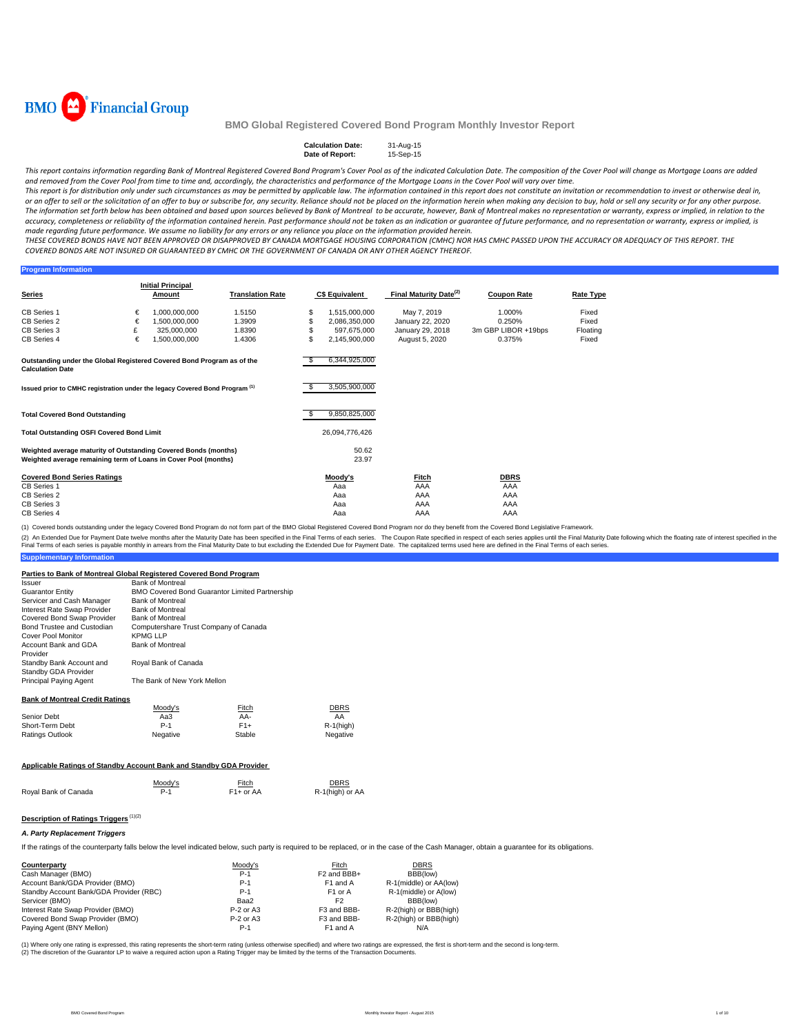

#### **Calculation Date:** 31-Aug-15 **Date of Report:**

This report contains information regarding Bank of Montreal Registered Covered Bond Program's Cover Pool as of the indicated Calculation Date. The composition of the Cover Pool will change as Mortgage Loans are added and removed from the Cover Pool from time to time and, accordingly, the characteristics and performance of the Mortgage Loans in the Cover Pool will vary over time.

This report is for distribution only under such circumstances as may be permitted by applicable law. The information contained in this report does not constitute an invitation or recommendation to invest or otherwise deal or an offer to sell or the solicitation of an offer to buy or subscribe for, any security. Reliance should not be placed on the information herein when making any decision to buy, hold or sell any security or for any other The information set forth below has been obtained and based upon sources believed by Bank of Montreal to be accurate, however, Bank of Montreal makes no representation or warranty, express or implied, in relation to the accuracy, completeness or reliability of the information contained herein. Past performance should not be taken as an indication or guarantee of future performance, and no representation or warranty, express or implied, is made regarding future performance. We assume no liability for any errors or any reliance you place on the information provided herein.

THESE COVERED BONDS HAVE NOT BEEN APPROVED OR DISAPPROVED BY CANADA MORTGAGE HOUSING CORPORATION (CMHC) NOR HAS CMHC PASSED UPON THE ACCURACY OR ADEQUACY OF THIS REPORT. THE COVERED BONDS ARE NOT INSURED OR GUARANTEED BY CMHC OR THE GOVERNMENT OF CANADA OR ANY OTHER AGENCY THEREOF.

#### **Program Information**

| Series                                                                                                                             |   | <b>Initial Principal</b><br>Amount | <b>Translation Rate</b> |   | <b>C\$ Equivalent</b> | Final Maturity Date <sup>(2)</sup> | <b>Coupon Rate</b>  | <b>Rate Type</b> |
|------------------------------------------------------------------------------------------------------------------------------------|---|------------------------------------|-------------------------|---|-----------------------|------------------------------------|---------------------|------------------|
|                                                                                                                                    |   |                                    |                         |   |                       |                                    |                     |                  |
| CB Series 1                                                                                                                        | € | 1,000,000,000                      | 1.5150                  |   | 1,515,000,000         | May 7, 2019                        | 1.000%              | Fixed            |
| CB Series 2                                                                                                                        | € | 1,500,000,000                      | 1.3909                  |   | 2,086,350,000         | January 22, 2020                   | 0.250%              | Fixed            |
| CB Series 3                                                                                                                        |   | 325,000,000                        | 1.8390                  |   | 597,675,000           | January 29, 2018                   | 3m GBP LIBOR +19bps | Floating         |
| CB Series 4                                                                                                                        | € | 000,000,000,000                    | 1.4306                  | S | 2,145,900,000         | August 5, 2020                     | 0.375%              | Fixed            |
| Outstanding under the Global Registered Covered Bond Program as of the<br><b>Calculation Date</b>                                  |   |                                    |                         |   | 6,344,925,000         |                                    |                     |                  |
| Issued prior to CMHC registration under the legacy Covered Bond Program (1)                                                        |   |                                    |                         |   | 3,505,900,000         |                                    |                     |                  |
| <b>Total Covered Bond Outstanding</b>                                                                                              |   |                                    |                         |   | 9,850,825,000         |                                    |                     |                  |
| <b>Total Outstanding OSFI Covered Bond Limit</b>                                                                                   |   |                                    |                         |   | 26,094,776,426        |                                    |                     |                  |
| Weighted average maturity of Outstanding Covered Bonds (months)<br>Weighted average remaining term of Loans in Cover Pool (months) |   |                                    |                         |   | 50.62<br>23.97        |                                    |                     |                  |
| <b>Covered Bond Series Ratings</b>                                                                                                 |   |                                    |                         |   | Moody's               | Fitch                              | <b>DBRS</b>         |                  |
| CB Series 1                                                                                                                        |   |                                    |                         |   | Aaa                   | AAA                                | AAA                 |                  |
| CB Series 2                                                                                                                        |   |                                    |                         |   | Aaa                   | AAA                                | AAA                 |                  |
| CB Series 3                                                                                                                        |   |                                    |                         |   | Aaa                   | AAA                                | AAA                 |                  |
| CB Series 4                                                                                                                        |   |                                    |                         |   | Aaa                   | AAA                                | AAA                 |                  |

(1) Covered bonds outstanding under the legacy Covered Bond Program do not form part of the BMO Global Registered Covered Bond Program nor do they benefit from the Covered Bond Legislative Framework.

(2) An Extended Due for Payment Date welve months after the Maturity Date has been specified in the Final Terms of each series. The Coupon Rate specified in the enducting the part of propert Date Income on the Schafed in t

### **Parties to Bank of Montreal Global Registered Covered Bond Program**

| Issuer                      | <b>Bank of Montreal</b>                               |
|-----------------------------|-------------------------------------------------------|
| Guarantor Entity            | <b>BMO Covered Bond Guarantor Limited Partnership</b> |
| Servicer and Cash Manager   | <b>Bank of Montreal</b>                               |
| Interest Rate Swap Provider | <b>Bank of Montreal</b>                               |
| Covered Bond Swap Provider  | <b>Bank of Montreal</b>                               |
| Bond Trustee and Custodian  | Computershare Trust Company of Canada                 |
| Cover Pool Monitor          | <b>KPMG LLP</b>                                       |
| Account Bank and GDA        | <b>Bank of Montreal</b>                               |
| Provider                    |                                                       |
| Standby Bank Account and    | Royal Bank of Canada                                  |
| Standby GDA Provider        |                                                       |
| Principal Paying Agent      | The Bank of New York Mellon                           |
|                             |                                                       |
|                             |                                                       |

### **Bank of Montreal Credit Ratings**

**Supplementary Info** 

|                 | Moody's  | Fitch  | <b>DBRS</b>  |
|-----------------|----------|--------|--------------|
| Senior Debt     | АаЗ      | AA-    | AA           |
| Short-Term Debt | $P-1$    | $F1+$  | $R-1$ (high) |
| Ratings Outlook | Negative | Stable | Negative     |

#### **Applicable Ratings of Standby Account Bank and Standby GDA Provider**

|                      | Moody's | Fitch       | <b>DBRS</b>     |
|----------------------|---------|-------------|-----------------|
| Royal Bank of Canada | P-1     | $F1+$ or AA | R-1(high) or AA |

### **Description of Ratings Triggers** (1)(2)

### *A. Party Replacement Triggers*

If the ratings of the counterparty falls below the level indicated below, such party is required to be replaced, or in the case of the Cash Manager, obtain a guarantee for its obligations.

| Counterparty                            | Moodv's     | Fitch                   | <b>DBRS</b>            |
|-----------------------------------------|-------------|-------------------------|------------------------|
| Cash Manager (BMO)                      | $P-1$       | F <sub>2</sub> and BBB+ | BBB(low)               |
| Account Bank/GDA Provider (BMO)         | $P-1$       | F <sub>1</sub> and A    | R-1(middle) or AA(low) |
| Standby Account Bank/GDA Provider (RBC) | $P-1$       | F <sub>1</sub> or A     | R-1(middle) or A(low)  |
| Servicer (BMO)                          | Baa2        | F <sub>2</sub>          | BBB(low)               |
| Interest Rate Swap Provider (BMO)       | $P-2$ or A3 | F3 and BBB-             | R-2(high) or BBB(high) |
| Covered Bond Swap Provider (BMO)        | $P-2$ or A3 | F3 and BBB-             | R-2(high) or BBB(high) |
| Paying Agent (BNY Mellon)               | $P-1$       | F <sub>1</sub> and A    | N/A                    |

(1) Where only one rating is expressed, this rating represents the short-term rating (unless otherwise specified) and where two ratings are expressed, the first is short-term and the second is long-term.<br>(2) The discretion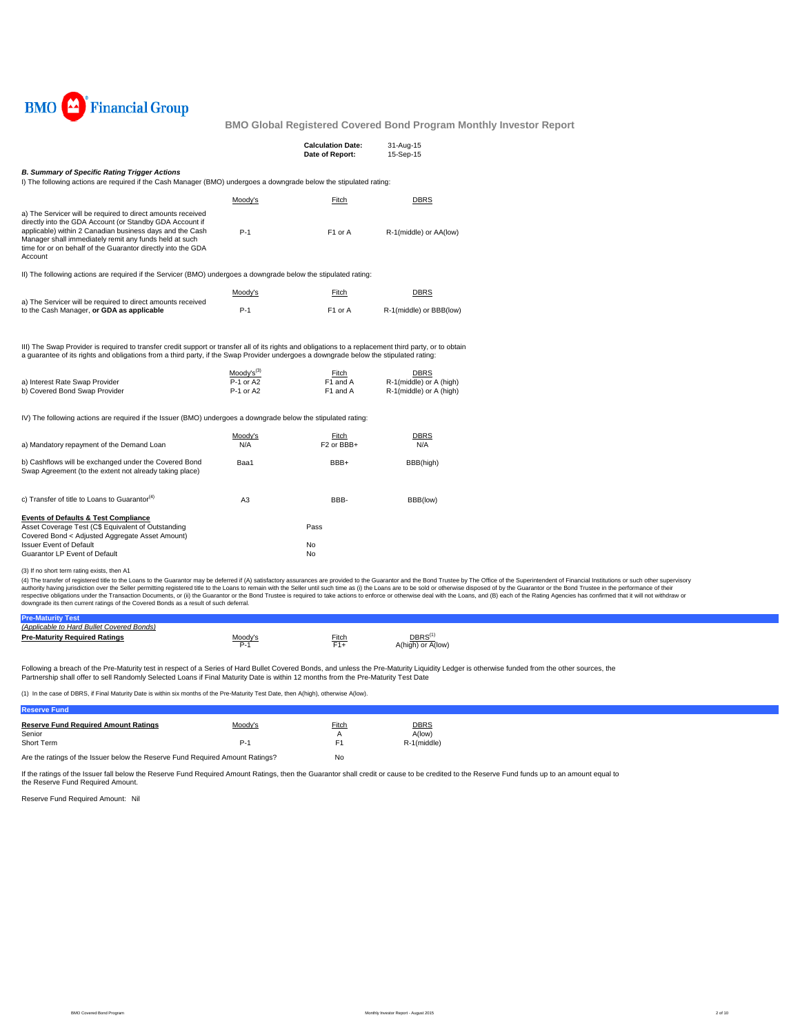

|                                                                                                                                                                                                                                                                                                                          |                        | <b>Calculation Date:</b><br>Date of Report: | 31-Aug-15<br>15-Sep-15                                     |
|--------------------------------------------------------------------------------------------------------------------------------------------------------------------------------------------------------------------------------------------------------------------------------------------------------------------------|------------------------|---------------------------------------------|------------------------------------------------------------|
| <b>B. Summary of Specific Rating Trigger Actions</b><br>I) The following actions are required if the Cash Manager (BMO) undergoes a downgrade below the stipulated rating:                                                                                                                                               |                        |                                             |                                                            |
|                                                                                                                                                                                                                                                                                                                          | Moody's                | Fitch                                       | <b>DBRS</b>                                                |
| a) The Servicer will be required to direct amounts received<br>directly into the GDA Account (or Standby GDA Account if<br>applicable) within 2 Canadian business days and the Cash<br>Manager shall immediately remit any funds held at such<br>time for or on behalf of the Guarantor directly into the GDA<br>Account | $P-1$                  | F1 or A                                     | R-1(middle) or AA(low)                                     |
| II) The following actions are required if the Servicer (BMO) undergoes a downgrade below the stipulated rating:                                                                                                                                                                                                          |                        |                                             |                                                            |
|                                                                                                                                                                                                                                                                                                                          | Moody's                | Fitch                                       | <b>DBRS</b>                                                |
| a) The Servicer will be required to direct amounts received<br>to the Cash Manager, or GDA as applicable                                                                                                                                                                                                                 | $P-1$                  | F1 or A                                     | R-1(middle) or BBB(low)                                    |
| III) The Swap Provider is required to transfer credit support or transfer all of its rights and obligations to a replacement third party, or to obtain<br>a quarantee of its rights and obligations from a third party, if the Swap Provider undergoes a downgrade below the stipulated rating:                          | $Mody's^{(3)}$         |                                             |                                                            |
| a) Interest Rate Swap Provider<br>b) Covered Bond Swap Provider                                                                                                                                                                                                                                                          | P-1 or A2<br>P-1 or A2 | Fitch<br>F1 and A<br>F1 and A               | DBRS<br>R-1(middle) or A (high)<br>R-1(middle) or A (high) |
| IV) The following actions are required if the Issuer (BMO) undergoes a downgrade below the stipulated rating:                                                                                                                                                                                                            |                        |                                             |                                                            |
| a) Mandatory repayment of the Demand Loan                                                                                                                                                                                                                                                                                | Moody's<br>N/A         | Fitch<br>F <sub>2</sub> or BBB+             | DBRS<br>N/A                                                |
| b) Cashflows will be exchanged under the Covered Bond<br>Swap Agreement (to the extent not already taking place)                                                                                                                                                                                                         | Baa1                   | BBB+                                        | BBB(high)                                                  |
| c) Transfer of title to Loans to Guarantor <sup>(4)</sup>                                                                                                                                                                                                                                                                | A <sub>3</sub>         | BBB-                                        | BBB(low)                                                   |
| <b>Events of Defaults &amp; Test Compliance</b>                                                                                                                                                                                                                                                                          |                        |                                             |                                                            |
| Asset Coverage Test (C\$ Equivalent of Outstanding<br>Covered Bond < Adjusted Aggregate Asset Amount)                                                                                                                                                                                                                    |                        | Pass                                        |                                                            |
| <b>Issuer Event of Default</b><br>Guarantor LP Event of Default                                                                                                                                                                                                                                                          |                        | No<br>No                                    |                                                            |
| (3) If no short term rating exists, then A1                                                                                                                                                                                                                                                                              |                        |                                             |                                                            |

(3) If no short term rating exists, then A1<br>(4) The transfer of registered title to the Loans to the Guarantor may be deferred if (A) satisfactory assurances are provided to the Guarantor and the Bond Trustee by The Office

| <b>Pre-Maturity Test</b>                  |               |              |                            |
|-------------------------------------------|---------------|--------------|----------------------------|
| (Applicable to Hard Bullet Covered Bonds) |               |              |                            |
| <b>Pre-Maturity Required Ratings</b>      | Moodv'<br>P., | <u>Fitch</u> | DBRS'<br>A(high) or A(low) |

Following a breach of the Pre-Maturity test in respect of a Series of Hard Bullet Covered Bonds, and unless the Pre-Maturity Liquidity Ledger is otherwise funded from the other sources, the<br>Partnership shall offer to sell

(1) In the case of DBRS, if Final Maturity Date is within six months of the Pre-Maturity Test Date, then A(high), otherwise A(low).

| Reserve Fund                                                                  |         |       |                       |
|-------------------------------------------------------------------------------|---------|-------|-----------------------|
| <b>Reserve Fund Required Amount Ratings</b><br>Senior                         | Moody's | Fitch | <b>DBRS</b><br>A(low) |
| Short Term                                                                    | P-1     |       | R-1(middle)           |
| Are the ratings of the Issuer below the Reserve Fund Required Amount Ratings? |         | No    |                       |

If the ratings of the Issuer fall below the Reserve Fund Required Amount Ratings, then the Guarantor shall credit or cause to be credited to the Reserve Fund funds up to an amount equal to

Reserve Fund Required Amount: Nil the Reserve Fund Required Amount.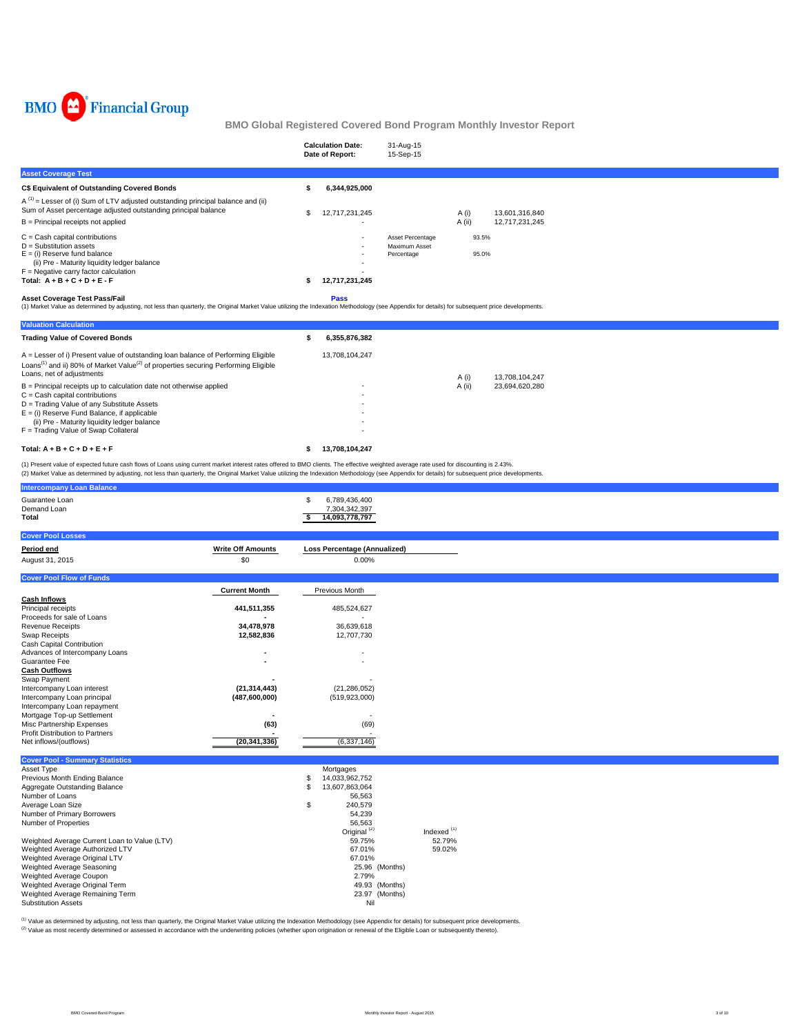

|                                                                                                                                                                                                                                            | <b>Calculation Date:</b><br>Date of Report: | 31-Aug-15<br>15-Sep-15                          |                |                |  |
|--------------------------------------------------------------------------------------------------------------------------------------------------------------------------------------------------------------------------------------------|---------------------------------------------|-------------------------------------------------|----------------|----------------|--|
| <b>Asset Coverage Test</b>                                                                                                                                                                                                                 |                                             |                                                 |                |                |  |
| C\$ Equivalent of Outstanding Covered Bonds                                                                                                                                                                                                | 6,344,925,000                               |                                                 |                |                |  |
| $A^{(1)}$ = Lesser of (i) Sum of LTV adjusted outstanding principal balance and (ii)<br>Sum of Asset percentage adjusted outstanding principal balance                                                                                     | 12,717,231,245                              |                                                 | A (i)          | 13.601.316.840 |  |
| $B =$ Principal receipts not applied                                                                                                                                                                                                       |                                             |                                                 | A (ii)         | 12,717,231,245 |  |
| $C =$ Cash capital contributions<br>$D =$ Substitution assets<br>$E =$ (i) Reserve fund balance<br>(ii) Pre - Maturity liquidity ledger balance<br>$F =$ Negative carry factor calculation<br>Total: $A + B + C + D + E - F$               | ٠<br>12,717,231,245                         | Asset Percentage<br>Maximum Asset<br>Percentage | 93.5%<br>95.0% |                |  |
| <b>Asset Coverage Test Pass/Fail</b><br>(1) Market Value as determined by adjusting, not less than quarterly, the Original Market Value utilizing the Indexation Methodology (see Appendix for details) for subsequent price developments. | <b>Pass</b>                                 |                                                 |                |                |  |

| <b>Valuation Calculation</b>                                                                                                                                                                                                 |                     |                          |
|------------------------------------------------------------------------------------------------------------------------------------------------------------------------------------------------------------------------------|---------------------|--------------------------|
| <b>Trading Value of Covered Bonds</b>                                                                                                                                                                                        | 6.355.876.382<br>\$ |                          |
| A = Lesser of i) Present value of outstanding loan balance of Performing Eligible<br>Loans <sup>(1)</sup> and ii) 80% of Market Value <sup>(2)</sup> of properties securing Performing Eligible<br>Loans, net of adjustments | 13.708.104.247      | A (i)<br>13.708.104.247  |
| $B =$ Principal receipts up to calculation date not otherwise applied                                                                                                                                                        | ۰                   | A (ii)<br>23.694.620.280 |
| $C =$ Cash capital contributions                                                                                                                                                                                             | ۰                   |                          |
| D = Trading Value of any Substitute Assets                                                                                                                                                                                   | ۰                   |                          |
| $E =$ (i) Reserve Fund Balance, if applicable                                                                                                                                                                                | ۰                   |                          |
| (ii) Pre - Maturity liquidity ledger balance                                                                                                                                                                                 | ۰                   |                          |
| F = Trading Value of Swap Collateral                                                                                                                                                                                         | ٠                   |                          |
| Total: $A + B + C + D + E + F$                                                                                                                                                                                               | 13.708.104.247<br>s |                          |

(1) Present value of expected future cash flows of Loans using current market interest rates offered to BMO clients. The effective weighted average rate used for discounting is 2.43%.<br>(2) Market Value as determined by adju

| <b>Intercompany Loan Balance</b>                               |                          |                                     |               |
|----------------------------------------------------------------|--------------------------|-------------------------------------|---------------|
| Guarantee Loan                                                 |                          | \$<br>6,789,436,400                 |               |
| Demand Loan                                                    |                          | 7,304,342,397                       |               |
| <b>Total</b>                                                   |                          | 14,093,778,797<br>\$                |               |
|                                                                |                          |                                     |               |
| <b>Cover Pool Losses</b>                                       |                          |                                     |               |
| Period end                                                     | <b>Write Off Amounts</b> | <b>Loss Percentage (Annualized)</b> |               |
| August 31, 2015                                                | \$0                      | 0.00%                               |               |
|                                                                |                          |                                     |               |
| <b>Cover Pool Flow of Funds</b>                                |                          |                                     |               |
|                                                                | <b>Current Month</b>     | Previous Month                      |               |
| <b>Cash Inflows</b>                                            |                          |                                     |               |
| Principal receipts                                             | 441,511,355              | 485,524,627                         |               |
| Proceeds for sale of Loans                                     |                          | ÷.                                  |               |
| <b>Revenue Receipts</b>                                        | 34,478,978               | 36,639,618                          |               |
| Swap Receipts<br>Cash Capital Contribution                     | 12,582,836               | 12,707,730                          |               |
| Advances of Intercompany Loans                                 | $\overline{\phantom{a}}$ |                                     |               |
| Guarantee Fee                                                  |                          |                                     |               |
| <b>Cash Outflows</b>                                           |                          |                                     |               |
| Swap Payment                                                   |                          |                                     |               |
| Intercompany Loan interest                                     | (21, 314, 443)           | (21, 286, 052)                      |               |
| Intercompany Loan principal                                    | (487,600,000)            | (519, 923, 000)                     |               |
| Intercompany Loan repayment                                    |                          |                                     |               |
| Mortgage Top-up Settlement                                     | $\blacksquare$           |                                     |               |
| Misc Partnership Expenses                                      | (63)                     | (69)                                |               |
| Profit Distribution to Partners                                | $\blacksquare$           | $\overline{a}$                      |               |
| Net inflows/(outflows)                                         | (20, 341, 336)           | (6,337,146)                         |               |
|                                                                |                          |                                     |               |
| <b>Cover Pool - Summary Statistics</b>                         |                          |                                     |               |
| Asset Type                                                     |                          | Mortgages<br>14,033,962,752         |               |
| Previous Month Ending Balance<br>Aggregate Outstanding Balance |                          | \$<br>\$<br>13,607,863,064          |               |
| Number of Loans                                                |                          | 56,563                              |               |
| Average Loan Size                                              |                          | 240,579<br>\$                       |               |
| Number of Primary Borrowers                                    |                          | 54,239                              |               |
| Number of Properties                                           |                          | 56,563                              |               |
|                                                                |                          | Original <sup>(2)</sup>             | Indexed $(1)$ |
| Weighted Average Current Loan to Value (LTV)                   |                          | 59.75%                              | 52.79%        |
| Weighted Average Authorized LTV                                |                          | 67.01%                              | 59.02%        |
| Weighted Average Original LTV                                  |                          | 67.01%                              |               |
| Weighted Average Seasoning                                     |                          | 25.96 (Months)                      |               |
| Weighted Average Coupon                                        |                          | 2.79%                               |               |
| Weighted Average Original Term                                 |                          | 49.93 (Months)                      |               |
| Weighted Average Remaining Term                                |                          | 23.97 (Months)                      |               |
| <b>Substitution Assets</b>                                     |                          | Nil                                 |               |

<sup>(1)</sup> Value as determined by adjusting, not less than quarterly, the Original Market Value utilizing the Indexation Methodology (see Appendix for details) for subsequent price developments.<br><sup>(2)</sup> Value as most recently det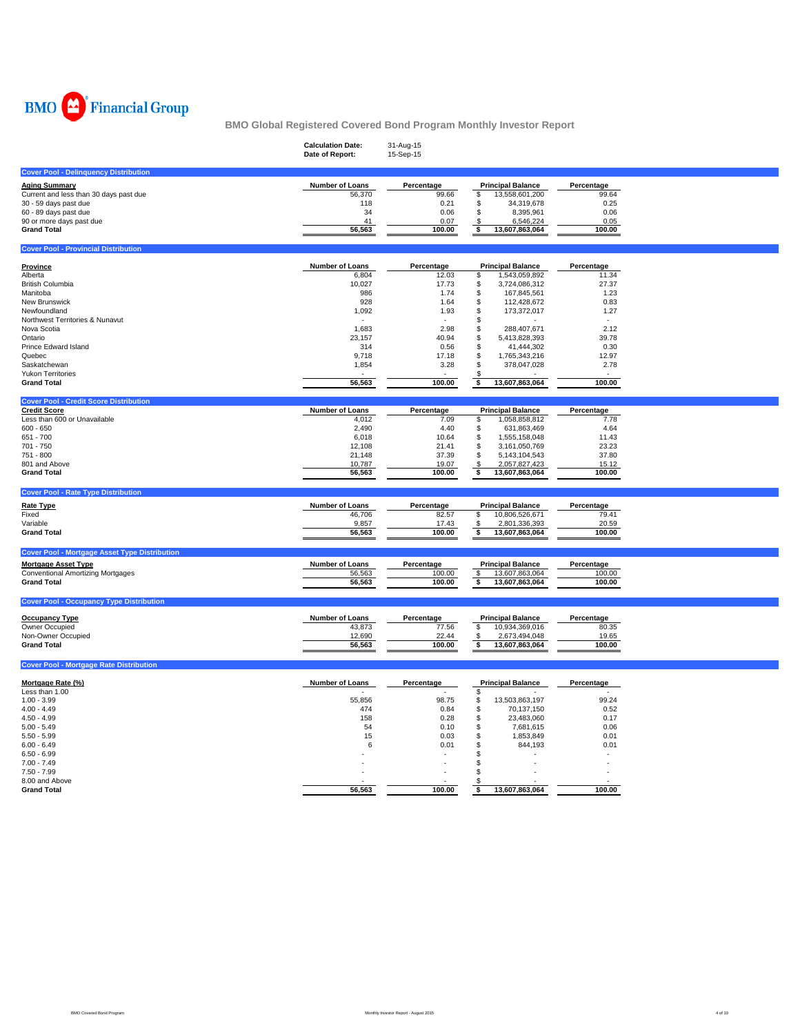

|                                                                      | <b>Calculation Date:</b><br>Date of Report: | 31-Aug-15<br>15-Sep-15 |                                             |                 |  |
|----------------------------------------------------------------------|---------------------------------------------|------------------------|---------------------------------------------|-----------------|--|
| <b>Cover Pool - Delinquency Distribution</b>                         |                                             |                        |                                             |                 |  |
| <b>Aging Summary</b>                                                 | Number of Loans                             | Percentage             | <b>Principal Balance</b>                    | Percentage      |  |
| Current and less than 30 days past due                               | 56,370                                      | 99.66                  | \$<br>13,558,601,200                        | 99.64           |  |
| 30 - 59 days past due                                                | 118                                         | 0.21                   | \$<br>34,319,678                            | 0.25            |  |
| 60 - 89 days past due                                                | 34                                          | 0.06                   | \$<br>8,395,961                             | 0.06            |  |
| 90 or more days past due                                             | 41                                          | 0.07                   | 6,546,224<br>\$                             | 0.05            |  |
| <b>Grand Total</b>                                                   | 56,563                                      | 100.00                 | \$<br>13,607,863,064                        | 100.00          |  |
| <b>Cover Pool - Provincial Distribution</b>                          |                                             |                        |                                             |                 |  |
|                                                                      |                                             |                        |                                             |                 |  |
| <b>Province</b>                                                      | Number of Loans                             | Percentage             | <b>Principal Balance</b>                    | Percentage      |  |
| Alberta                                                              | 6,804                                       | 12.03                  | \$<br>1,543,059,892                         | 11.34           |  |
| British Columbia                                                     | 10,027                                      | 17.73                  | \$<br>3,724,086,312                         | 27.37           |  |
| Manitoba<br>New Brunswick                                            | 986<br>928                                  | 1.74<br>1.64           | \$<br>167,845,561<br>\$<br>112,428,672      | 1.23<br>0.83    |  |
| Newfoundland                                                         | 1,092                                       | 1.93                   | \$<br>173,372,017                           | 1.27            |  |
| Northwest Territories & Nunavut                                      |                                             |                        | \$                                          |                 |  |
| Nova Scotia                                                          | 1,683                                       | 2.98                   | \$<br>288,407,671                           | 2.12            |  |
| Ontario                                                              | 23,157                                      | 40.94                  | \$<br>5,413,828,393                         | 39.78           |  |
| Prince Edward Island                                                 | 314                                         | 0.56                   | \$<br>41,444,302                            | 0.30            |  |
| Quebec                                                               | 9,718                                       | 17.18                  | \$<br>1,765,343,216                         | 12.97           |  |
| Saskatchewan                                                         | 1,854                                       | 3.28                   | \$<br>378,047,028                           | 2.78            |  |
| <b>Yukon Territories</b>                                             |                                             |                        |                                             |                 |  |
| <b>Grand Total</b>                                                   | 56,563                                      | 100.00                 | 13,607,863,064<br>\$                        | 100.00          |  |
|                                                                      |                                             |                        |                                             |                 |  |
| <b>Cover Pool - Credit Score Distribution</b><br><b>Credit Score</b> | Number of Loans                             | Percentage             | <b>Principal Balance</b>                    | Percentage      |  |
| Less than 600 or Unavailable                                         | 4,012                                       | 7.09                   | \$<br>1,058,858,812                         | 7.78            |  |
| $600 - 650$                                                          | 2,490                                       | 4.40                   | \$<br>631,863,469                           | 4.64            |  |
| 651 - 700                                                            | 6,018                                       | 10.64                  | \$<br>1,555,158,048                         | 11.43           |  |
|                                                                      | 12,108                                      | 21.41                  | \$<br>3,161,050,769                         | 23.23           |  |
|                                                                      |                                             |                        |                                             |                 |  |
| 701 - 750                                                            |                                             |                        |                                             |                 |  |
| 751 - 800<br>801 and Above                                           | 21,148<br>10,787                            | 37.39                  | \$<br>5, 143, 104, 543                      | 37.80           |  |
| <b>Grand Total</b>                                                   | 56,563                                      | 19.07<br>100.00        | 2,057,827,423<br>\$<br>\$<br>13,607,863,064 | 15.12<br>100.00 |  |
|                                                                      |                                             |                        |                                             |                 |  |
| <b>Cover Pool - Rate Type Distribution</b>                           |                                             |                        |                                             |                 |  |
| <b>Rate Type</b>                                                     | <b>Number of Loans</b>                      | Percentage             | <b>Principal Balance</b>                    | Percentage      |  |
| Fixed                                                                | 46,706                                      | 82.57                  | \$<br>10,806,526,671                        | 79.41           |  |
| Variable                                                             | 9,857                                       | 17.43                  | 2,801,336,393<br>£.                         | 20.59           |  |
| <b>Grand Total</b>                                                   | 56,563                                      | 100.00                 | \$<br>13,607,863,064                        | 100.00          |  |
| <b>Cover Pool - Mortgage Asset Type Distribution</b>                 |                                             |                        |                                             |                 |  |
| <b>Mortgage Asset Type</b>                                           | <b>Number of Loans</b>                      | Percentage             | <b>Principal Balance</b>                    | Percentage      |  |
|                                                                      | 56,563                                      | 100.00                 | \$<br>13,607,863,064                        | 100.00          |  |
| Conventional Amortizing Mortgages<br><b>Grand Total</b>              | 56,563                                      | 100.00                 | \$<br>13,607,863,064                        | 100.00          |  |
|                                                                      |                                             |                        |                                             |                 |  |
| <b>Cover Pool - Occupancy Type Distribution</b>                      |                                             |                        |                                             |                 |  |
| <b>Occupancy Type</b>                                                | Number of Loans                             | Percentage             | <b>Principal Balance</b>                    | Percentage      |  |
| Owner Occupied                                                       | 43,873                                      | 77.56                  | \$<br>10,934,369,016                        | 80.35           |  |
| Non-Owner Occupied                                                   | 12,690                                      | 22.44                  | 2,673,494,048<br>\$                         | 19.65           |  |
| <b>Grand Total</b>                                                   | 56,563                                      | 100.00                 | 13,607,863,064<br>\$                        | 100.00          |  |
| <b>Cover Pool - Mortgage Rate Distribution</b>                       |                                             |                        |                                             |                 |  |
|                                                                      |                                             |                        |                                             |                 |  |
| Mortgage Rate (%)                                                    | Number of Loans                             | Percentage             | <b>Principal Balance</b>                    | Percentage      |  |
| Less than 1.00                                                       |                                             |                        | \$                                          |                 |  |
| $1.00 - 3.99$                                                        | 55,856                                      | 98.75                  | \$<br>13,503,863,197                        | 99.24           |  |
| $4.00 - 4.49$                                                        | 474                                         | 0.84                   | \$<br>70,137,150                            | 0.52            |  |
| $4.50 - 4.99$                                                        | 158                                         | 0.28                   | \$<br>23,483,060                            | 0.17            |  |
| $5.00 - 5.49$                                                        | 54                                          | 0.10                   | \$<br>7,681,615                             | 0.06            |  |
| $5.50 - 5.99$                                                        | 15                                          | 0.03                   | \$<br>1,853,849                             | 0.01            |  |
| $6.00 - 6.49$                                                        | 6                                           | 0.01                   | \$<br>844,193                               | 0.01            |  |
| $6.50 - 6.99$                                                        |                                             |                        | \$                                          |                 |  |
| $7.00 - 7.49$                                                        |                                             |                        | \$<br>\$                                    |                 |  |
| $7.50 - 7.99$<br>8.00 and Above                                      |                                             |                        |                                             |                 |  |

 $\overline{\phantom{a}}$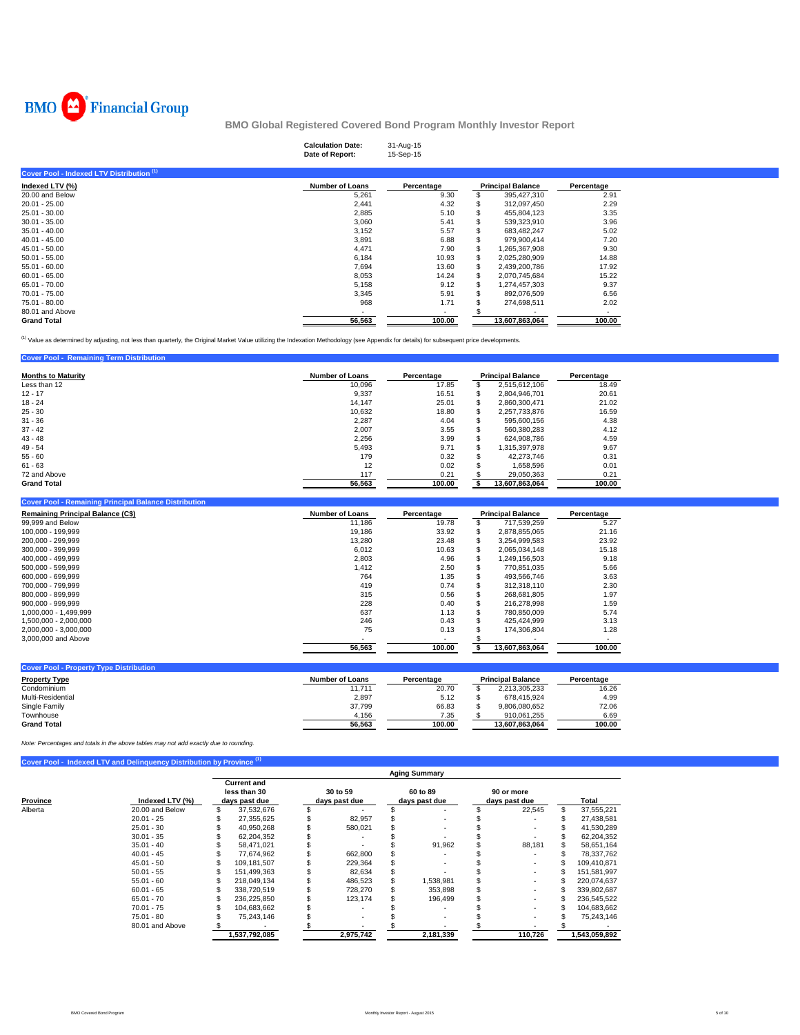

**Cover Pool - Remaining Term Distribution** 

## **BMO Global Registered Covered Bond Program Monthly Investor Report**

|                                                      | <b>Calculation Date:</b><br>Date of Report: | 31-Aug-15<br>15-Sep-15 |    |                          |            |  |
|------------------------------------------------------|---------------------------------------------|------------------------|----|--------------------------|------------|--|
| Cover Pool - Indexed LTV Distribution <sup>(1)</sup> |                                             |                        |    |                          |            |  |
| Indexed LTV (%)                                      | <b>Number of Loans</b>                      | Percentage             |    | <b>Principal Balance</b> | Percentage |  |
| 20.00 and Below                                      | 5,261                                       | 9.30                   | \$ | 395,427,310              | 2.91       |  |
| $20.01 - 25.00$                                      | 2,441                                       | 4.32                   |    | 312,097,450              | 2.29       |  |
| 25.01 - 30.00                                        | 2,885                                       | 5.10                   | S  | 455,804,123              | 3.35       |  |
| $30.01 - 35.00$                                      | 3,060                                       | 5.41                   | S  | 539,323,910              | 3.96       |  |
| $35.01 - 40.00$                                      | 3,152                                       | 5.57                   |    | 683,482,247              | 5.02       |  |
| $40.01 - 45.00$                                      | 3,891                                       | 6.88                   |    | 979,900,414              | 7.20       |  |
| 45.01 - 50.00                                        | 4,471                                       | 7.90                   | \$ | 1,265,367,908            | 9.30       |  |
| $50.01 - 55.00$                                      | 6,184                                       | 10.93                  | \$ | 2,025,280,909            | 14.88      |  |
| $55.01 - 60.00$                                      | 7,694                                       | 13.60                  | \$ | 2,439,200,786            | 17.92      |  |
| $60.01 - 65.00$                                      | 8,053                                       | 14.24                  | \$ | 2,070,745,684            | 15.22      |  |
| 65.01 - 70.00                                        | 5,158                                       | 9.12                   | \$ | 1,274,457,303            | 9.37       |  |
| 70.01 - 75.00                                        | 3,345                                       | 5.91                   | S  | 892,076,509              | 6.56       |  |
| 75.01 - 80.00                                        | 968                                         | 1.71                   |    | 274,698,511              | 2.02       |  |
| 80.01 and Above                                      | <b>COL</b>                                  | ۰                      |    | $\overline{\phantom{a}}$ | $\sim$     |  |
| <b>Grand Total</b>                                   | 56,563                                      | 100.00                 |    | 13,607,863,064           | 100.00     |  |

<sup>(1)</sup> Value as determined by adjusting, not less than quarterly, the Original Market Value utilizing the Indexation Methodology (see Appendix for details) for subsequent price developments.

| $\sim$                    |                        |            |     |                          |            |
|---------------------------|------------------------|------------|-----|--------------------------|------------|
| <b>Months to Maturity</b> | <b>Number of Loans</b> | Percentage |     | <b>Principal Balance</b> | Percentage |
| Less than 12              | 10.096                 | 17.85      |     | 2.515.612.106            | 18.49      |
| $12 - 17$                 | 9,337                  | 16.51      |     | 2.804.946.701            | 20.61      |
| $18 - 24$                 | 14.147                 | 25.01      | \$. | 2.860.300.471            | 21.02      |
| $25 - 30$                 | 10,632                 | 18.80      | Э'n | 2,257,733,876            | 16.59      |
| $31 - 36$                 | 2.287                  | 4.04       |     | 595.600.156              | 4.38       |
| $37 - 42$                 | 2.007                  | 3.55       |     | 560.380.283              | 4.12       |
| $43 - 48$                 | 2,256                  | 3.99       |     | 624.908.786              | 4.59       |
| $49 - 54$                 | 5.493                  | 9.71       |     | 1.315.397.978            | 9.67       |
| $55 - 60$                 | 179                    | 0.32       |     | 42.273.746               | 0.31       |
| $61 - 63$                 | 12                     | 0.02       |     | 1,658,596                | 0.01       |
| 72 and Above              | 117                    | 0.21       |     | 29.050.363               | 0.21       |
| <b>Grand Total</b>        | 56,563                 | 100.00     |     | 13,607,863,064           | 100.00     |

| <b>Cover Pool - Remaining Principal Balance Distribution</b> |                        |            |   |                          |            |
|--------------------------------------------------------------|------------------------|------------|---|--------------------------|------------|
| <b>Remaining Principal Balance (C\$)</b>                     | <b>Number of Loans</b> | Percentage |   | <b>Principal Balance</b> | Percentage |
| 99,999 and Below                                             | 11.186                 | 19.78      |   | 717.539.259              | 5.27       |
| 100.000 - 199.999                                            | 19.186                 | 33.92      | S | 2,878,855,065            | 21.16      |
| 200.000 - 299.999                                            | 13,280                 | 23.48      |   | 3.254.999.583            | 23.92      |
| 300.000 - 399.999                                            | 6.012                  | 10.63      |   | 2.065.034.148            | 15.18      |
| 400.000 - 499.999                                            | 2.803                  | 4.96       |   | 1.249.156.503            | 9.18       |
| 500.000 - 599.999                                            | 1,412                  | 2.50       |   | 770,851,035              | 5.66       |
| 600.000 - 699.999                                            | 764                    | 1.35       |   | 493.566.746              | 3.63       |
| 700.000 - 799.999                                            | 419                    | 0.74       |   | 312.318.110              | 2.30       |
| 800.000 - 899.999                                            | 315                    | 0.56       |   | 268.681.805              | 1.97       |
| 900.000 - 999.999                                            | 228                    | 0.40       |   | 216,278,998              | 1.59       |
| 1.000.000 - 1.499.999                                        | 637                    | 1.13       |   | 780.850.009              | 5.74       |
| 1,500,000 - 2,000,000                                        | 246                    | 0.43       |   | 425.424.999              | 3.13       |
| 2.000.000 - 3.000.000                                        | 75                     | 0.13       |   | 174.306.804              | 1.28       |
| 3,000,000 and Above                                          |                        |            |   |                          |            |
|                                                              | 56.563                 | 100.00     |   | 13,607,863,064           | 100.00     |

| <b>Cover Pool - Property Type Distribution</b> |                 |            |                          |            |
|------------------------------------------------|-----------------|------------|--------------------------|------------|
| <b>Property Type</b>                           | Number of Loans | Percentage | <b>Principal Balance</b> | Percentage |
| Condominium                                    | 11,711          | 20.70      | 2.213.305.233            | 16.26      |
| Multi-Residential                              | 2,897           | 5.12       | 678.415.924              | 4.99       |
| Single Family                                  | 37.799          | 66.83      | 9.806.080.652            | 72.06      |
| Townhouse                                      | 4.156           | 7.35       | 910.061.255              | 6.69       |
| <b>Grand Total</b>                             | 56.563          | 100.00     | 13.607.863.064           | 100.00     |

*Note: Percentages and totals in the above tables may not add exactly due to rounding.*

|          |                 |   |                                                     |                           | <b>Aging Summary</b>      |                             |   |               |
|----------|-----------------|---|-----------------------------------------------------|---------------------------|---------------------------|-----------------------------|---|---------------|
| Province | Indexed LTV (%) |   | <b>Current and</b><br>less than 30<br>days past due | 30 to 59<br>days past due | 60 to 89<br>days past due | 90 or more<br>days past due |   | Total         |
| Alberta  | 20.00 and Below | S | 37,532,676                                          |                           |                           | 22,545                      | S | 37,555,221    |
|          | $20.01 - 25$    |   | 27.355.625                                          | 82.957                    |                           |                             |   | 27.438.581    |
|          | $25.01 - 30$    |   | 40.950.268                                          | 580.021                   |                           |                             |   | 41.530.289    |
|          | $30.01 - 35$    |   | 62,204,352                                          |                           |                           |                             |   | 62.204.352    |
|          | $35.01 - 40$    |   | 58.471.021                                          |                           | 91.962                    | 88.181                      |   | 58,651,164    |
|          | $40.01 - 45$    |   | 77.674.962                                          | 662,800                   |                           |                             |   | 78,337,762    |
|          | $45.01 - 50$    |   | 109.181.507                                         | 229.364                   |                           |                             |   | 109.410.871   |
|          | $50.01 - 55$    |   | 151.499.363                                         | 82,634                    |                           |                             |   | 151.581.997   |
|          | $55.01 - 60$    |   | 218.049.134                                         | 486,523                   | 1,538,981                 |                             |   | 220,074,637   |
|          | $60.01 - 65$    |   | 338.720.519                                         | 728.270                   | 353,898                   |                             |   | 339,802,687   |
|          | $65.01 - 70$    |   | 236,225,850                                         | 123.174                   | 196.499                   |                             |   | 236,545,522   |
|          | $70.01 - 75$    |   | 104,683,662                                         |                           |                           |                             |   | 104,683,662   |
|          | 75.01 - 80      |   | 75,243,146                                          |                           |                           |                             |   | 75,243,146    |
|          | 80.01 and Above |   |                                                     |                           |                           |                             |   |               |
|          |                 |   | 1,537,792,085                                       | 2,975,742                 | 2,181,339                 | 110,726                     |   | 1,543,059,892 |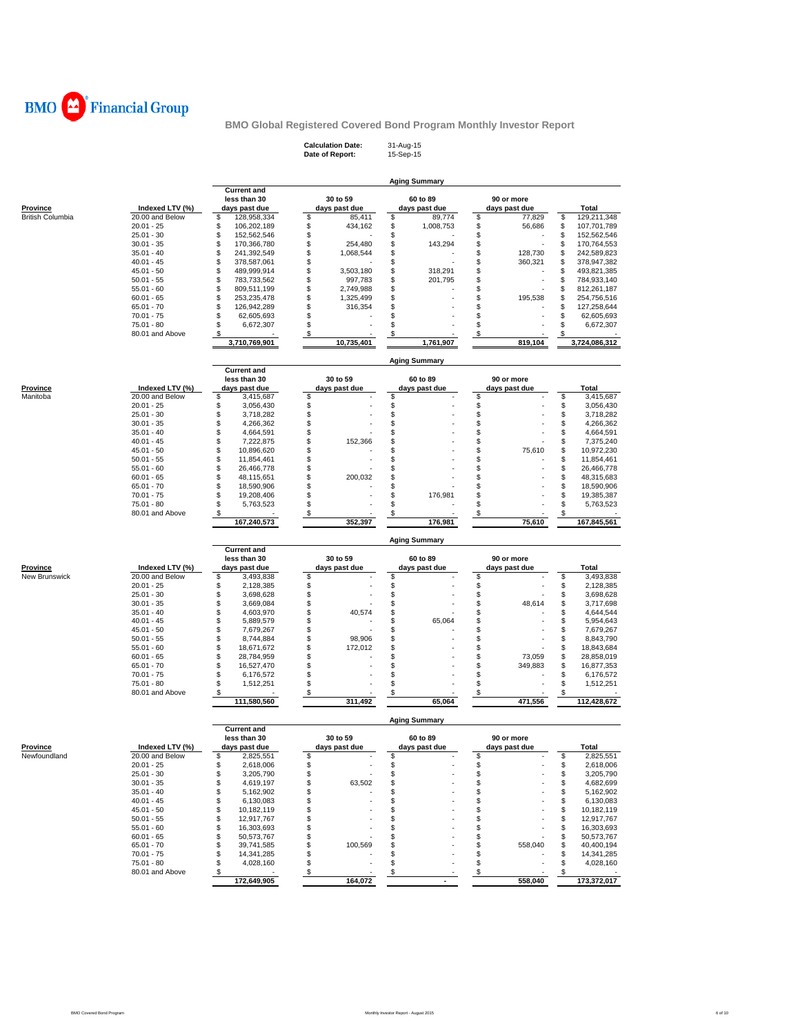

**Calculation Date:** 31-Aug-15 **Date of Report:** 15-Sep-15

|                             |                                    |                                    |                              | <b>Aging Summary</b>      |                             |          |                            |
|-----------------------------|------------------------------------|------------------------------------|------------------------------|---------------------------|-----------------------------|----------|----------------------------|
|                             |                                    | <b>Current and</b>                 |                              |                           |                             |          |                            |
| Province                    | Indexed LTV (%)                    | less than 30<br>days past due      | 30 to 59<br>days past due    | 60 to 89<br>days past due | 90 or more<br>days past due |          | Total                      |
| <b>British Columbia</b>     | 20.00 and Below                    | \$<br>128,958,334                  | \$<br>85,411                 | \$<br>89,774              | \$<br>77,829                | \$       | 129,211,348                |
|                             | $20.01 - 25$                       | \$<br>106,202,189                  | \$<br>434,162                | \$<br>1,008,753           | \$<br>56,686                | \$       | 107,701,789                |
|                             | $25.01 - 30$                       | \$<br>152,562,546                  | \$                           | \$                        | \$                          | \$       | 152,562,546                |
|                             | $30.01 - 35$                       | \$<br>170,366,780                  | \$<br>254,480                | \$<br>143,294             | \$<br>ä,                    | \$       | 170,764,553                |
|                             | $35.01 - 40$                       | \$<br>241,392,549                  | \$<br>1,068,544              | \$                        | \$<br>128,730               | \$       | 242,589,823                |
|                             | $40.01 - 45$                       | \$<br>378,587,061                  | \$                           | \$                        | \$<br>360,321               | \$       | 378,947,382                |
|                             | $45.01 - 50$                       | \$<br>489,999,914                  | \$<br>3,503,180              | \$<br>318,291             | \$                          | \$       | 493,821,385                |
|                             | $50.01 - 55$<br>$55.01 - 60$       | \$<br>783,733,562<br>\$            | \$<br>997,783<br>\$          | \$<br>201,795<br>\$       | \$<br>\$                    | \$<br>\$ | 784,933,140                |
|                             | $60.01 - 65$                       | 809,511,199<br>\$<br>253,235,478   | 2,749,988<br>\$<br>1,325,499 | \$                        | \$<br>195,538               | \$       | 812,261,187<br>254,756,516 |
|                             | $65.01 - 70$                       | \$<br>126,942,289                  | \$<br>316,354                | \$                        | \$                          | \$       | 127,258,644                |
|                             | $70.01 - 75$                       | \$<br>62,605,693                   | \$                           | \$                        | \$                          | \$       | 62,605,693                 |
|                             | $75.01 - 80$                       | \$<br>6,672,307                    | \$                           | \$                        | \$                          | \$       | 6,672,307                  |
|                             | 80.01 and Above                    | \$                                 | \$                           | S                         | \$                          | \$       |                            |
|                             |                                    | 3,710,769,901                      | 10,735,401                   | 1,761,907                 | 819,104                     |          | 3,724,086,312              |
|                             |                                    |                                    |                              | <b>Aging Summary</b>      |                             |          |                            |
|                             |                                    | <b>Current and</b>                 |                              |                           |                             |          |                            |
|                             |                                    | less than 30                       | 30 to 59                     | 60 to 89                  | 90 or more                  |          |                            |
| <b>Province</b><br>Manitoba | Indexed LTV (%)<br>20.00 and Below | days past due                      | days past due                | days past due             | days past due               |          | Total                      |
|                             | $20.01 - 25$                       | \$<br>3,415,687<br>\$<br>3,056,430 | \$<br>\$                     | \$<br>\$                  | \$<br>\$                    | \$<br>\$ | 3,415,687<br>3,056,430     |
|                             | $25.01 - 30$                       | \$<br>3,718,282                    | \$                           |                           | \$                          | \$       | 3,718,282                  |
|                             | $30.01 - 35$                       | \$<br>4,266,362                    | \$                           | \$<br>\$                  | \$                          | \$       | 4,266,362                  |
|                             | $35.01 - 40$                       | \$<br>4,664,591                    | \$                           | \$                        | \$                          | \$       | 4,664,591                  |
|                             | $40.01 - 45$                       | \$<br>7,222,875                    | \$<br>152,366                | \$                        | \$                          | \$       | 7,375,240                  |
|                             | $45.01 - 50$                       | \$<br>10,896,620                   | \$                           | \$                        | \$<br>75,610                | \$       | 10,972,230                 |
|                             | $50.01 - 55$                       | \$<br>11,854,461                   | \$                           | \$                        | \$                          | \$       | 11,854,461                 |
|                             | $55.01 - 60$                       | \$<br>26,466,778                   | \$                           | \$                        | \$                          | \$       | 26,466,778                 |
|                             | $60.01 - 65$                       | \$<br>48,115,651                   | \$<br>200,032                | \$                        | \$                          | \$       | 48,315,683                 |
|                             | $65.01 - 70$                       | \$<br>18,590,906                   | \$                           | \$                        | \$                          | \$       | 18,590,906                 |
|                             | $70.01 - 75$                       | \$<br>19,208,406                   | \$                           | \$<br>176,981             | \$                          | \$       | 19,385,387                 |
|                             | 75.01 - 80                         | \$<br>5,763,523                    | \$                           | \$                        | \$                          | \$       | 5,763,523                  |
|                             | 80.01 and Above                    | \$                                 | \$                           | \$                        | \$                          | \$       |                            |
|                             |                                    | 167,240,573                        | 352,397                      | 176,981                   | 75,610                      |          | 167,845,561                |
|                             |                                    |                                    |                              |                           |                             |          |                            |
|                             |                                    |                                    |                              | <b>Aging Summary</b>      |                             |          |                            |
|                             |                                    | <b>Current and</b>                 |                              |                           |                             |          |                            |
|                             |                                    | less than 30                       | 30 to 59                     | 60 to 89                  | 90 or more                  |          |                            |
| Province<br>New Brunswick   | Indexed LTV (%)<br>20.00 and Below | days past due                      | days past due                | days past due             | days past due               |          | Total                      |
|                             | $20.01 - 25$                       | \$<br>3,493,838<br>\$<br>2,128,385 | \$                           | \$                        | \$                          | \$<br>\$ | 3,493,838<br>2,128,385     |
|                             | $25.01 - 30$                       | \$<br>3,698,628                    | \$<br>\$                     |                           | \$<br>\$                    | \$       | 3,698,628                  |
|                             | $30.01 - 35$                       | \$<br>3,669,084                    | \$                           | \$<br>\$                  | \$<br>48,614                | \$       | 3,717,698                  |
|                             | $35.01 - 40$                       | \$<br>4,603,970                    | \$<br>40,574                 | \$                        | \$                          | \$       | 4,644,544                  |
|                             | $40.01 - 45$                       | \$<br>5,889,579                    | \$                           | \$<br>65,064              | \$                          | \$       | 5,954,643                  |
|                             | $45.01 - 50$                       | \$<br>7,679,267                    | \$                           | \$                        | \$                          | \$       | 7,679,267                  |
|                             | $50.01 - 55$                       | \$<br>8,744,884                    | 98,906<br>\$                 | \$                        | \$                          | \$       | 8,843,790                  |
|                             | $55.01 - 60$                       | \$<br>18,671,672                   | \$<br>172,012                | \$                        | \$                          | \$       | 18,843,684                 |
|                             | $60.01 - 65$                       | \$<br>28,784,959                   | \$                           | \$                        | \$<br>73,059                | \$       | 28,858,019                 |
|                             | $65.01 - 70$                       | \$<br>16,527,470                   | \$                           | \$                        | \$<br>349,883               | \$       | 16,877,353                 |
|                             | $70.01 - 75$                       | \$<br>6,176,572                    | \$                           | \$                        | \$                          | \$       | 6,176,572                  |
|                             | 75.01 - 80                         | \$<br>1,512,251                    | \$                           | \$                        | \$                          | \$<br>S  | 1,512,251                  |
|                             | 80.01 and Above                    | \$<br>111,580,560                  | \$<br>311,492                | \$<br>65,064              | \$<br>471,556               |          | 112,428,672                |
|                             |                                    |                                    |                              | <b>Aging Summary</b>      |                             |          |                            |
|                             |                                    | <b>Current and</b>                 |                              |                           |                             |          |                            |
|                             |                                    | less than 30                       | 30 to 59                     | 60 to 89                  | 90 or more                  |          |                            |
| <b>Province</b>             | Indexed LTV (%)                    | days past due<br>\$                | days past due<br>\$          | days past due             | days past due               |          | Total                      |
| Newfoundland                | 20.00 and Below                    | 2,825,551                          |                              | \$                        | \$                          | \$       | 2,825,551                  |
|                             | $20.01 - 25$<br>$25.01 - 30$       | \$<br>2,618,006<br>\$              | \$<br>\$                     | \$<br>\$                  | \$<br>\$                    | \$<br>\$ | 2,618,006<br>3,205,790     |
|                             | $30.01 - 35$                       | 3,205,790<br>\$<br>4,619,197       | 63,502<br>\$                 | \$                        | \$                          | \$       | 4,682,699                  |
|                             | $35.01 - 40$                       | \$<br>5,162,902                    | \$                           | \$                        | \$                          | \$       | 5,162,902                  |
|                             | $40.01 - 45$                       | \$<br>6,130,083                    | \$                           | \$                        | \$                          | \$       | 6,130,083                  |
|                             | $45.01 - 50$                       | \$<br>10,182,119                   | \$                           | \$                        | \$                          | \$       | 10,182,119                 |
|                             | $50.01 - 55$                       | \$<br>12,917,767                   | \$                           | \$                        | \$                          | \$       | 12,917,767                 |
|                             | $55.01 - 60$                       | \$<br>16,303,693                   | \$                           | \$                        | \$                          | \$       | 16,303,693                 |
|                             | $60.01 - 65$                       | \$<br>50,573,767                   | \$                           | \$                        | \$                          | \$       | 50,573,767                 |
|                             | $65.01 - 70$                       | \$<br>39,741,585                   | 100,569<br>\$                | \$                        | \$<br>558,040               | \$       | 40,400,194                 |
|                             | $70.01 - 75$                       | \$<br>14,341,285                   | \$                           | \$                        | \$                          | \$       | 14,341,285                 |
|                             | 75.01 - 80<br>80.01 and Above      | \$<br>4,028,160<br>\$              | \$<br>\$                     | \$<br>\$                  | \$<br>\$                    | \$<br>\$ | 4,028,160                  |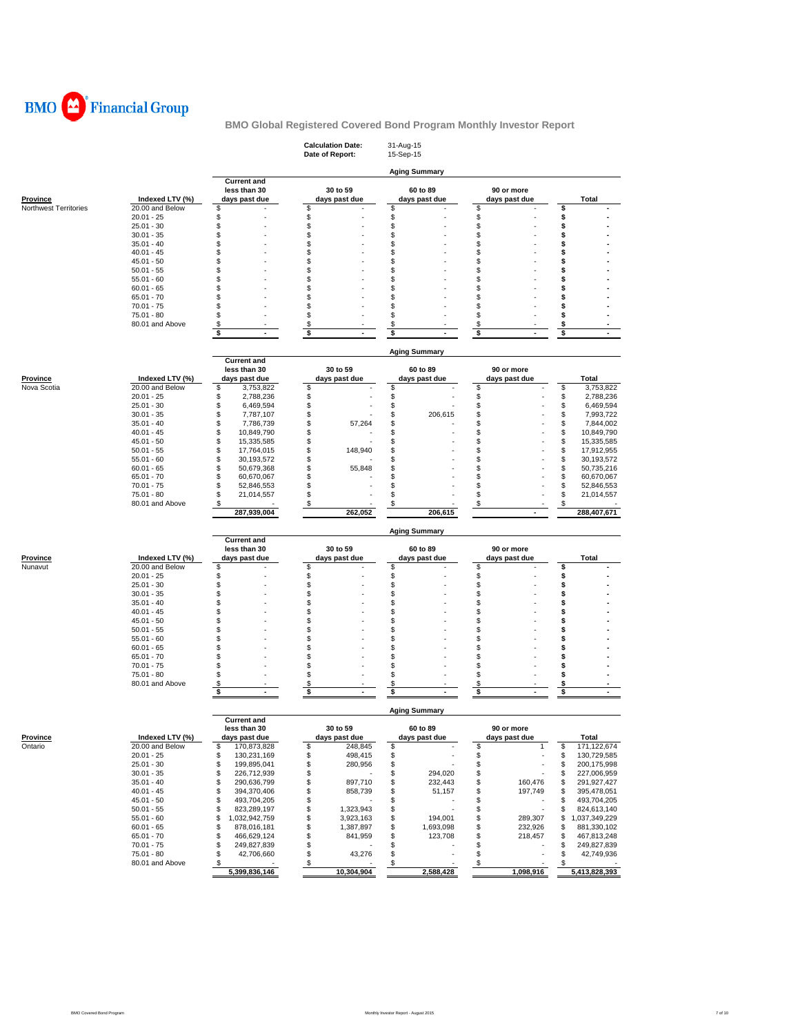

|                       |                                 |                                        | <b>Calculation Date:</b><br>Date of Report: | 31-Aug-15<br>15-Sep-15 |                      |                                        |
|-----------------------|---------------------------------|----------------------------------------|---------------------------------------------|------------------------|----------------------|----------------------------------------|
|                       |                                 | <b>Current and</b>                     |                                             | <b>Aging Summary</b>   |                      |                                        |
|                       |                                 | less than 30                           | 30 to 59                                    | 60 to 89               | 90 or more           |                                        |
| Province              | Indexed LTV (%)                 | days past due                          | days past due                               | days past due          | days past due        | Total                                  |
| Northwest Territories | 20.00 and Below                 | \$                                     | \$                                          | \$                     | \$                   | \$                                     |
|                       | $20.01 - 25$                    | \$                                     | \$                                          | \$                     | \$                   | \$                                     |
|                       | $25.01 - 30$                    | \$                                     | \$                                          | \$                     | \$                   | \$                                     |
|                       | $30.01 - 35$                    | \$                                     | \$                                          | \$                     | \$                   | \$                                     |
|                       | $35.01 - 40$                    | \$                                     | \$                                          | \$                     | \$                   | \$                                     |
|                       | $40.01 - 45$                    | \$                                     | \$                                          | \$                     | \$                   | \$                                     |
|                       | $45.01 - 50$                    | \$                                     | \$                                          | \$                     | \$                   | \$                                     |
|                       | $50.01 - 55$<br>$55.01 - 60$    | \$<br>\$                               | \$<br>\$                                    | \$<br>\$               | \$<br>\$             | \$<br>\$                               |
|                       | $60.01 - 65$                    | \$                                     | \$                                          | \$                     | \$                   | \$                                     |
|                       | $65.01 - 70$                    | \$                                     | \$                                          | \$                     | \$                   | \$                                     |
|                       | $70.01 - 75$                    | \$                                     | \$                                          | \$                     | \$                   | \$                                     |
|                       | $75.01 - 80$                    | \$                                     | \$                                          | \$                     | \$                   | \$                                     |
|                       | 80.01 and Above                 | \$                                     | \$                                          | \$                     | \$                   | \$                                     |
|                       |                                 | \$<br>$\sim$                           | \$<br>ä,                                    | \$                     | \$                   | \$                                     |
|                       |                                 |                                        |                                             |                        |                      |                                        |
|                       |                                 |                                        |                                             | <b>Aging Summary</b>   |                      |                                        |
|                       |                                 | <b>Current and</b>                     |                                             |                        |                      |                                        |
|                       |                                 | less than 30                           | 30 to 59                                    | 60 to 89               | 90 or more           |                                        |
| <b>Province</b>       | Indexed LTV (%)                 | days past due                          | days past due                               | days past due          | days past due        | Total                                  |
| Nova Scotia           | 20.00 and Below                 | \$<br>3,753,822                        | \$                                          | \$                     | \$                   | \$<br>3,753,822                        |
|                       | $20.01 - 25$                    | \$<br>2,788,236                        | \$                                          | \$                     | \$                   | \$<br>2,788,236                        |
|                       | $25.01 - 30$                    | \$<br>6,469,594                        | \$                                          | \$                     | \$                   | \$<br>6,469,594                        |
|                       | $30.01 - 35$<br>$35.01 - 40$    | \$<br>7,787,107<br>\$                  | \$<br>\$                                    | \$<br>206,615<br>\$    | \$<br>\$             | \$<br>7,993,722<br>\$                  |
|                       | $40.01 - 45$                    | 7,786,739<br>\$<br>10,849,790          | 57,264<br>\$                                | \$                     | \$                   | 7,844,002<br>\$<br>10,849,790          |
|                       | $45.01 - 50$                    | \$<br>15,335,585                       | \$                                          | \$                     | \$                   | \$<br>15,335,585                       |
|                       | $50.01 - 55$                    | \$<br>17,764,015                       | \$<br>148,940                               | \$                     | \$                   | \$<br>17,912,955                       |
|                       | $55.01 - 60$                    | \$<br>30,193,572                       | \$                                          | \$                     | \$                   | 30,193,572<br>\$                       |
|                       | $60.01 - 65$                    | \$<br>50,679,368                       | \$<br>55,848                                | \$                     | \$                   | \$<br>50,735,216                       |
|                       | $65.01 - 70$                    | \$<br>60,670,067                       | \$                                          | \$                     | \$                   | \$<br>60,670,067                       |
|                       | $70.01 - 75$                    | \$<br>52,846,553                       | \$                                          | \$                     | \$                   | \$<br>52,846,553                       |
|                       | 75.01 - 80                      | \$<br>21,014,557                       | \$                                          | \$                     | \$                   | \$<br>21,014,557                       |
|                       | 80.01 and Above                 | \$                                     | \$                                          | \$                     | \$                   | \$                                     |
|                       |                                 | 287,939,004                            | 262,052                                     | 206,615                |                      | 288,407,671                            |
|                       |                                 |                                        |                                             |                        |                      |                                        |
|                       |                                 |                                        |                                             | <b>Aging Summary</b>   |                      |                                        |
|                       |                                 | <b>Current and</b>                     |                                             |                        |                      |                                        |
|                       |                                 | less than 30                           | 30 to 59                                    | 60 to 89               | 90 or more           |                                        |
| Province              | Indexed LTV (%)                 | days past due                          | days past due                               | days past due          | days past due        | Total                                  |
| Nunavut               | 20.00 and Below                 | \$                                     | \$                                          | \$                     | \$                   | \$                                     |
|                       | $20.01 - 25$<br>$25.01 - 30$    | \$<br>\$                               | \$<br>\$                                    | \$<br>\$               | \$<br>\$             | \$<br>\$                               |
|                       | $30.01 - 35$                    | \$                                     | \$                                          | \$                     | \$                   | \$                                     |
|                       | $35.01 - 40$                    | \$                                     | \$                                          | \$                     | \$                   | \$                                     |
|                       | $40.01 - 45$                    | \$                                     | \$                                          | \$                     | \$                   | \$                                     |
|                       | $45.01 - 50$                    | \$                                     | \$                                          | \$                     | \$                   | \$                                     |
|                       | $50.01 - 55$                    | \$                                     | \$                                          | \$                     | \$                   | \$                                     |
|                       | $55.01 - 60$                    | \$                                     | \$                                          | \$                     | \$                   | \$                                     |
|                       | $60.01 - 65$                    | \$                                     | \$                                          | \$                     | \$                   | \$                                     |
|                       | $65.01 - 70$                    | \$                                     | \$                                          | \$                     | \$                   | \$                                     |
|                       | $70.01 - 75$                    | \$                                     | \$                                          | \$                     | \$                   | \$                                     |
|                       | 75.01 - 80                      | \$                                     | \$                                          | \$                     | \$                   | \$                                     |
|                       | 80.01 and Above                 | \$                                     | \$                                          | \$                     | \$                   | \$                                     |
|                       |                                 | \$<br>$\sim$                           | \$<br>$\blacksquare$                        | \$<br>$\blacksquare$   | \$<br>$\blacksquare$ | \$<br>$\sim$                           |
|                       |                                 |                                        |                                             |                        |                      |                                        |
|                       |                                 |                                        |                                             | <b>Aging Summary</b>   |                      |                                        |
|                       |                                 | <b>Current and</b>                     |                                             |                        |                      |                                        |
|                       |                                 | less than 30                           | 30 to 59                                    | 60 to 89               | 90 or more           |                                        |
| <b>Province</b>       | Indexed LTV (%)                 | days past due                          | days past due                               | days past due          | days past due        | Total                                  |
| Ontario               | 20.00 and Below<br>$20.01 - 25$ | 170,873,828<br>\$<br>\$<br>130,231,169 | \$<br>248,845<br>\$<br>498,415              | \$<br>\$               | \$<br>1<br>\$        | \$<br>171,122,674<br>\$<br>130,729,585 |
|                       | $25.01 - 30$                    | \$<br>199,895,041                      | \$<br>280,956                               | \$                     | \$                   | 200,175,998<br>\$                      |
|                       | $30.01 - 35$                    | \$<br>226,712,939                      | \$                                          | \$<br>294,020          | \$                   | 227,006,959<br>\$                      |
|                       | $35.01 - 40$                    | \$<br>290,636,799                      | \$<br>897,710                               | \$<br>232,443          | \$<br>160,476        | \$<br>291,927,427                      |
|                       | $40.01 - 45$                    | \$<br>394,370,406                      | \$<br>858,739                               | \$<br>51,157           | \$<br>197,749        | \$<br>395,478,051                      |
|                       | $45.01 - 50$                    | \$<br>493,704,205                      | \$                                          | \$                     | \$                   | \$<br>493,704,205                      |
|                       | $50.01 - 55$                    | \$<br>823,289,197                      | \$<br>1,323,943                             | \$                     | \$                   | \$<br>824,613,140                      |
|                       | $55.01 - 60$                    | \$<br>1,032,942,759                    | \$<br>3,923,163                             | \$<br>194,001          | \$<br>289,307        | \$<br>1,037,349,229                    |
|                       | $60.01 - 65$                    | \$<br>878,016,181                      | \$<br>1,387,897                             | \$<br>1,693,098        | \$<br>232,926        | \$<br>881,330,102                      |
|                       | $65.01 - 70$                    | \$<br>466,629,124                      | \$<br>841,959                               | \$<br>123,708          | \$<br>218,457        | \$<br>467,813,248                      |
|                       | $70.01 - 75$                    | \$<br>249,827,839                      | \$                                          | \$                     | \$                   | \$<br>249,827,839                      |
|                       | 75.01 - 80                      | \$<br>42,706,660                       | \$<br>43,276                                | \$                     | \$                   | \$<br>42,749,936                       |
|                       | 80.01 and Above                 | \$                                     | \$<br>10,304,904                            | $\$$<br>2,588,428      | \$<br>1,098,916      | \$<br>5,413,828,393                    |
|                       |                                 | 5,399,836,146                          |                                             |                        |                      |                                        |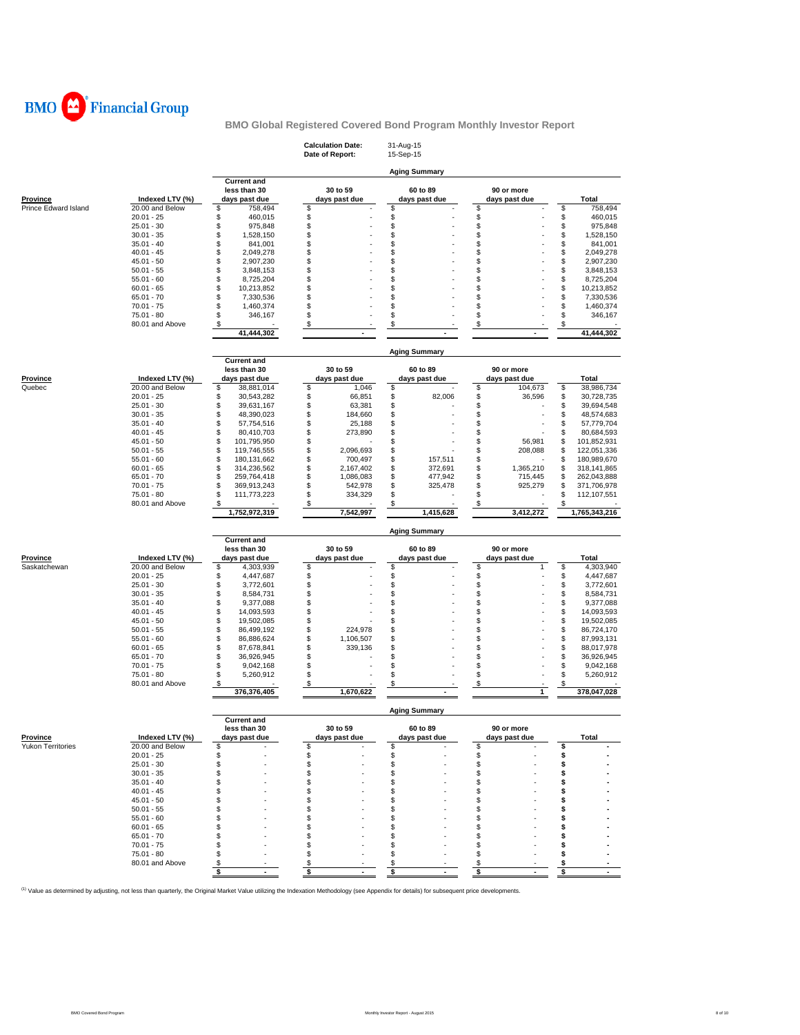

|                          |                                 |                                                     | <b>Calculation Date:</b><br>Date of Report: | 31-Aug-15<br>15-Sep-15    |                             |                                    |
|--------------------------|---------------------------------|-----------------------------------------------------|---------------------------------------------|---------------------------|-----------------------------|------------------------------------|
|                          |                                 |                                                     |                                             | <b>Aging Summary</b>      |                             |                                    |
| <b>Province</b>          | Indexed LTV (%)                 | <b>Current and</b><br>less than 30<br>days past due | 30 to 59<br>days past due                   | 60 to 89<br>days past due | 90 or more<br>days past due | Total                              |
| Prince Edward Island     | 20.00 and Below<br>$20.01 - 25$ | \$<br>758,494<br>\$<br>460,015                      | \$<br>\$                                    | \$<br>\$                  | \$                          | \$<br>758,494<br>\$<br>460,015     |
|                          | $25.01 - 30$                    | \$<br>975,848                                       | \$                                          | \$                        | \$                          | \$<br>975,848                      |
|                          | $30.01 - 35$                    | \$<br>1,528,150                                     | \$                                          | \$                        | \$                          | \$<br>1,528,150                    |
|                          | $35.01 - 40$                    | \$<br>841,001                                       | \$                                          | \$                        | \$                          | \$<br>841,001                      |
|                          | $40.01 - 45$                    | \$<br>2,049,278                                     | \$                                          | \$                        | \$                          | \$<br>2,049,278                    |
|                          | $45.01 - 50$                    | \$<br>2,907,230                                     | \$                                          | \$                        | \$                          | \$<br>2,907,230                    |
|                          | $50.01 - 55$                    | \$<br>3,848,153                                     | \$                                          | \$                        | \$                          | \$<br>3,848,153                    |
|                          | $55.01 - 60$                    | \$<br>8,725,204                                     | \$                                          | \$                        | \$                          | \$<br>8,725,204                    |
|                          | $60.01 - 65$                    | \$<br>10,213,852                                    | \$                                          | \$                        | \$                          | \$<br>10,213,852                   |
|                          | $65.01 - 70$                    | \$<br>7,330,536                                     | \$                                          | \$                        | \$                          | \$<br>7,330,536                    |
|                          | $70.01 - 75$                    | \$<br>1,460,374                                     | \$                                          | \$                        | \$                          | \$<br>1,460,374                    |
|                          | 75.01 - 80                      | \$<br>346,167                                       | \$                                          | \$                        | \$                          | \$<br>346,167                      |
|                          | 80.01 and Above                 | \$                                                  | \$                                          | \$                        | \$                          | \$                                 |
|                          |                                 | 41,444,302                                          |                                             |                           |                             | 41,444,302                         |
|                          |                                 | <b>Current and</b>                                  |                                             | <b>Aging Summary</b>      |                             |                                    |
|                          |                                 | less than 30                                        | 30 to 59                                    | 60 to 89                  | 90 or more                  |                                    |
| <b>Province</b>          | Indexed LTV (%)                 | days past due                                       | days past due                               | days past due             | days past due               | Total                              |
| Quebec                   | 20.00 and Below                 | \$<br>38,881,014                                    | \$<br>1,046                                 | \$                        | \$<br>104,673               | \$<br>38,986,734                   |
|                          | $20.01 - 25$                    | \$<br>30,543,282                                    | \$<br>66,851                                | \$<br>82,006              | \$<br>36,596                | \$<br>30,728,735                   |
|                          | $25.01 - 30$                    | \$<br>39,631,167                                    | \$<br>63,381                                | \$                        | \$                          | \$<br>39,694,548                   |
|                          | $30.01 - 35$                    | \$<br>48,390,023                                    | \$<br>184,660                               | \$                        | \$                          | \$<br>48,574,683                   |
|                          | $35.01 - 40$                    | \$<br>57,754,516                                    | \$<br>25,188                                | \$                        | \$                          | \$<br>57,779,704                   |
|                          | $40.01 - 45$                    | \$<br>80,410,703                                    | \$<br>273,890                               | \$                        | \$                          | \$<br>80,684,593                   |
|                          | $45.01 - 50$                    | \$<br>101,795,950                                   | \$                                          | \$                        | \$<br>56,981                | \$<br>101,852,931                  |
|                          | $50.01 - 55$                    | \$<br>119,746,555                                   | \$<br>2,096,693                             | \$                        | \$<br>208,088               | \$<br>122,051,336                  |
|                          | $55.01 - 60$                    | \$<br>180, 131, 662                                 | \$<br>700,497                               | \$<br>157,511             | \$                          | \$<br>180,989,670                  |
|                          | $60.01 - 65$                    | \$<br>314,236,562                                   | \$<br>2,167,402                             | \$<br>372,691             | \$<br>1,365,210             | \$<br>318,141,865                  |
|                          | $65.01 - 70$                    | \$<br>259,764,418                                   | \$<br>1,086,083                             | \$<br>477,942             | \$<br>715,445               | \$<br>262,043,888                  |
|                          | $70.01 - 75$                    | \$<br>369,913,243                                   | \$<br>542,978                               | \$<br>325,478             | \$<br>925,279               | \$<br>371,706,978                  |
|                          | 75.01 - 80                      | \$<br>111,773,223                                   | \$<br>334,329                               | \$                        | \$                          | \$<br>112,107,551                  |
|                          | 80.01 and Above                 | \$<br>1,752,972,319                                 | \$<br>7,542,997                             | \$<br>1,415,628           | \$<br>3,412,272             | \$<br>1,765,343,216                |
|                          |                                 |                                                     |                                             |                           |                             |                                    |
|                          |                                 | <b>Current and</b>                                  |                                             | <b>Aging Summary</b>      |                             |                                    |
|                          |                                 | less than 30                                        | 30 to 59                                    | 60 to 89                  | 90 or more                  |                                    |
| Province                 | Indexed LTV (%)                 | days past due                                       | days past due                               | days past due             | days past due               | Total                              |
| Saskatchewan             | 20.00 and Below                 | \$<br>4,303,939                                     | \$                                          | \$                        | \$<br>$\mathbf{1}$          | \$<br>4,303,940                    |
|                          | $20.01 - 25$<br>$25.01 - 30$    | \$<br>4,447,687<br>\$                               | \$                                          | \$<br>\$                  | \$<br>\$                    | \$<br>4,447,687                    |
|                          | $30.01 - 35$                    | 3,772,601<br>\$<br>8,584,731                        | \$<br>\$                                    | \$                        | \$                          | \$<br>3,772,601<br>\$<br>8,584,731 |
|                          | $35.01 - 40$                    | \$<br>9,377,088                                     | \$                                          | \$                        | \$                          | \$<br>9,377,088                    |
|                          | $40.01 - 45$                    | \$<br>14,093,593                                    | \$                                          | \$                        | \$                          | \$<br>14,093,593                   |
|                          | $45.01 - 50$                    | \$<br>19,502,085                                    | \$                                          | \$                        | \$                          | \$<br>19,502,085                   |
|                          | $50.01 - 55$                    | \$<br>86,499,192                                    | \$<br>224,978                               | \$                        | \$                          | \$<br>86,724,170                   |
|                          | $55.01 - 60$                    | \$<br>86,886,624                                    | \$<br>1,106,507                             | \$                        | \$                          | \$<br>87,993,131                   |
|                          | $60.01 - 65$                    | \$<br>87,678,841                                    | \$<br>339,136                               | \$                        | \$                          | \$<br>88,017,978                   |
|                          | $65.01 - 70$                    | \$<br>36,926,945                                    | \$                                          | \$                        | \$                          | \$<br>36,926,945                   |
|                          | $70.01 - 75$                    | \$<br>9,042,168                                     | \$                                          | \$                        | \$                          | \$<br>9,042,168                    |
|                          | 75.01 - 80                      | \$<br>5,260,912                                     | \$                                          | \$                        | \$                          | \$<br>5,260,912                    |
|                          | 80.01 and Above                 | \$<br>376,376,405                                   | \$<br>1,670,622                             | \$                        | \$<br>$\mathbf{1}$          | \$<br>378,047,028                  |
|                          |                                 |                                                     |                                             | <b>Aging Summary</b>      |                             |                                    |
|                          |                                 | <b>Current and</b><br>less than 30                  | 30 to 59                                    | 60 to 89                  | 90 or more                  |                                    |
| <b>Province</b>          | Indexed LTV (%)                 | days past due                                       | days past due                               | days past due             | days past due               | Total                              |
| <b>Yukon Territories</b> | 20.00 and Below                 | \$                                                  | \$                                          | \$                        | \$                          | \$                                 |
|                          | $20.01 - 25$                    | \$                                                  | \$                                          | \$                        | \$                          | \$                                 |
|                          | $25.01 - 30$                    | \$                                                  | \$                                          | \$                        | \$                          | \$                                 |
|                          | $30.01 - 35$                    | \$                                                  | \$                                          | \$                        | \$                          | \$                                 |
|                          | $35.01 - 40$                    | \$                                                  | \$                                          | \$                        | \$                          | s                                  |
|                          | $40.01 - 45$                    | \$                                                  | \$                                          | \$                        | \$                          | s                                  |
|                          | $45.01 - 50$                    | \$                                                  | \$                                          | S                         | \$                          | s                                  |
|                          | $50.01 - 55$                    | \$                                                  | \$                                          | S                         | \$                          | s                                  |
|                          | $55.01 - 60$                    | \$                                                  | \$                                          | \$                        | \$                          | s                                  |
|                          | $60.01 - 65$                    | \$                                                  | \$                                          | \$                        | \$                          | S                                  |
|                          | $65.01 - 70$                    | \$                                                  | \$                                          | \$                        | \$                          | s                                  |
|                          | $70.01 - 75$                    | \$                                                  | \$                                          | S                         | \$                          | s                                  |
|                          | 75.01 - 80                      | \$                                                  | \$                                          | \$                        | \$                          | s                                  |
|                          | 80.01 and Above                 | \$                                                  | \$                                          | \$                        | \$                          | Ş                                  |
|                          |                                 | \$<br>$\blacksquare$                                | \$<br>$\blacksquare$                        | \$<br>$\blacksquare$      | \$<br>$\blacksquare$        | \$<br>$\blacksquare$               |
|                          |                                 |                                                     |                                             |                           |                             |                                    |

<sup>(1)</sup> Value as determined by adjusting, not less than quarterly, the Original Market Value utilizing the Indexation Methodology (see Appendix for details) for subsequent price developments.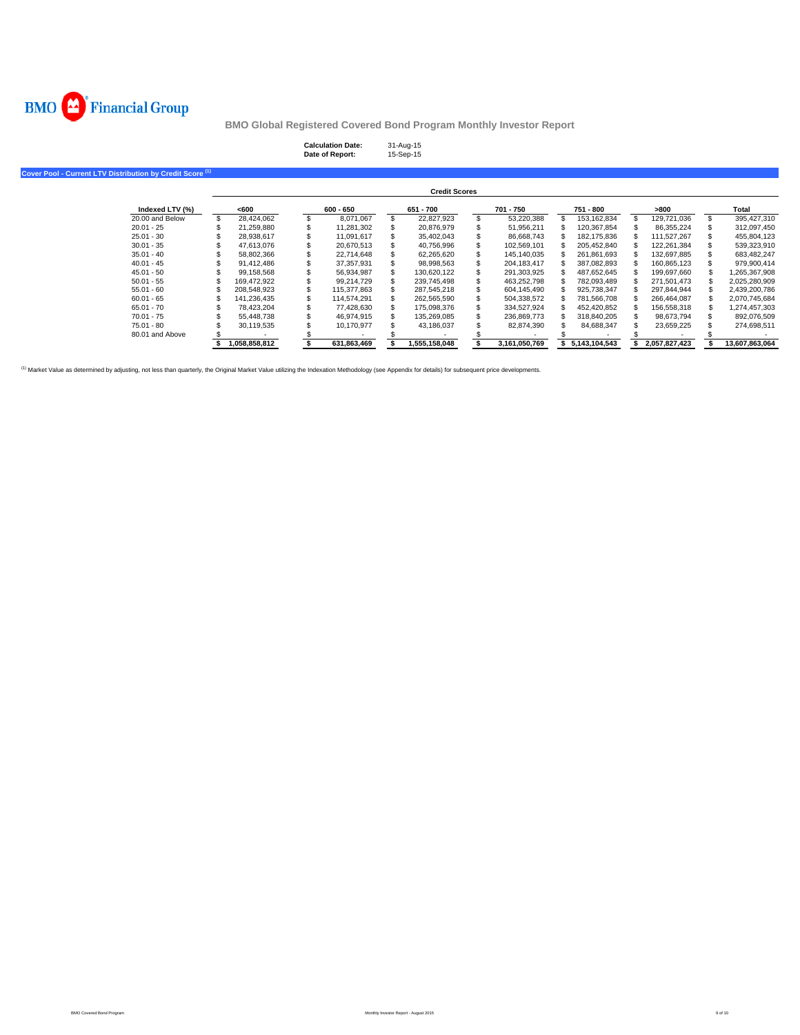

| <b>Calculation Date:</b> | 31-Aug-15 |
|--------------------------|-----------|
| Date of Report:          | 15-Sep-15 |

**Cover Pool - Current LTV Distribution by Credit Score (1)**

|                 |               |             | <b>Credit Scores</b> |                  |               |               |                |
|-----------------|---------------|-------------|----------------------|------------------|---------------|---------------|----------------|
| Indexed LTV (%) | <600          | $600 - 650$ | 651 - 700            | 701 - 750        | 751 - 800     | >800          | Total          |
| 20.00 and Below | 28.424.062    | 8.071.067   | 22.827.923           | 53.220.388       | 153.162.834   | 129.721.036   | 395.427.310    |
| $20.01 - 25$    | 21.259.880    | 11.281.302  | 20.876.979           | \$<br>51.956.211 | 120.367.854   | 86.355.224    | 312,097,450    |
| $25.01 - 30$    | 28.938.617    | 11.091.617  | 35.402.043           | 86.668.743       | 182.175.836   | 111.527.267   | 455.804.123    |
| $30.01 - 35$    | 47.613.076    | 20.670.513  | 40.756.996           | 102.569.101      | 205.452.840   | 122.261.384   | 539.323.910    |
| $35.01 - 40$    | 58.802.366    | 22.714.648  | 62.265.620           | 145.140.035      | 261.861.693   | 132.697.885   | 683.482.247    |
| $40.01 - 45$    | 91.412.486    | 37.357.931  | 98.998.563           | 204.183.417      | 387.082.893   | 160.865.123   | 979.900.414    |
| $45.01 - 50$    | 99.158.568    | 56.934.987  | 130.620.122          | 291.303.925      | 487,652,645   | 199.697.660   | 265,367,908    |
| $50.01 - 55$    | 169,472,922   | 99.214.729  | 239,745,498          | 463.252.798      | 782.093.489   | 271.501.473   | 2,025,280,909  |
| $55.01 - 60$    | 208.548.923   | 115.377.863 | 287.545.218          | 604.145.490      | 925.738.347   | 297.844.944   | 2,439,200,786  |
| $60.01 - 65$    | 141.236.435   | 114.574.291 | 262.565.590          | 504,338,572      | 781.566.708   | 266.464.087   | 2,070,745,684  |
| $65.01 - 70$    | 78.423.204    | 77.428.630  | 175.098.376          | 334,527,924      | 452.420.852   | 156.558.318   | 303, 274,457,  |
| $70.01 - 75$    | 55,448,738    | 46.974.915  | 135,269,085          | 236.869.773      | 318.840.205   | 98.673.794    | 892,076,509    |
| $75.01 - 80$    | 30.119.535    | 10.170.977  | 43,186,037           | 82.874.390       | 84.688.347    | 23,659,225    | 274.698.511    |
| 80.01 and Above |               |             |                      |                  |               |               |                |
|                 | 1.058.858.812 | 631.863.469 | 1,555,158,048        | 3,161,050,769    | 5.143.104.543 | 2.057.827.423 | 13.607.863.064 |

<sup>(1)</sup> Market Value as determined by adjusting, not less than quarterly, the Original Market Value utilizing the Indexation Methodology (see Appendix for details) for subsequent price developments.